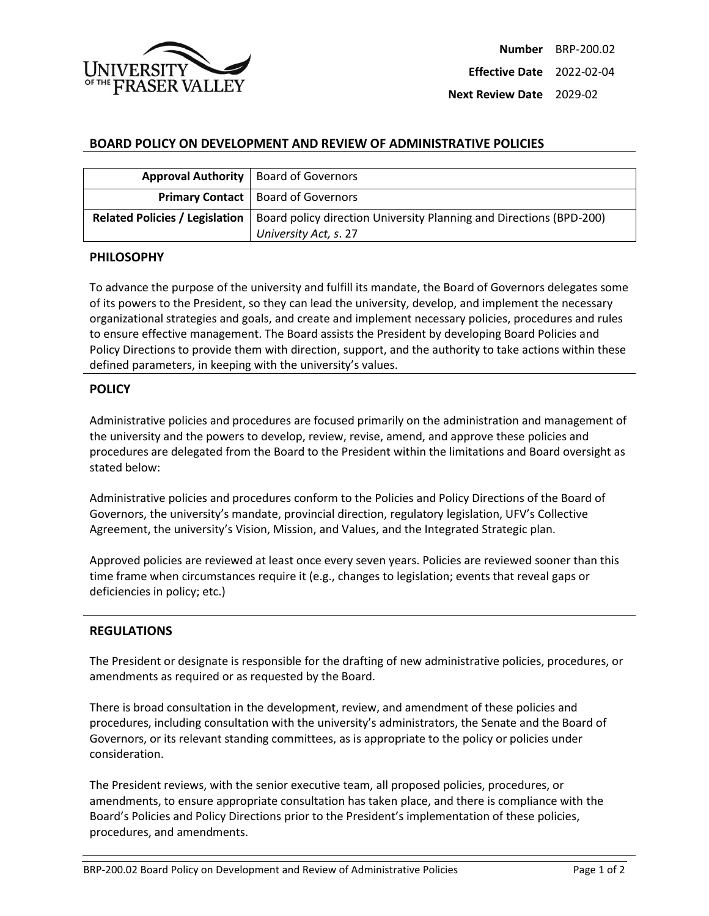

**Next Review Date** 2029-02

## **BOARD POLICY ON DEVELOPMENT AND REVIEW OF ADMINISTRATIVE POLICIES**

|                                       | Approval Authority   Board of Governors                                                      |
|---------------------------------------|----------------------------------------------------------------------------------------------|
|                                       | <b>Primary Contact</b>   Board of Governors                                                  |
| <b>Related Policies / Legislation</b> | Board policy direction University Planning and Directions (BPD-200)<br>University Act, s. 27 |

## **PHILOSOPHY**

To advance the purpose of the university and fulfill its mandate, the Board of Governors delegates some of its powers to the President, so they can lead the university, develop, and implement the necessary organizational strategies and goals, and create and implement necessary policies, procedures and rules to ensure effective management. The Board assists the President by developing Board Policies and Policy Directions to provide them with direction, support, and the authority to take actions within these defined parameters, in keeping with the university's values.

## **POLICY**

Administrative policies and procedures are focused primarily on the administration and management of the university and the powers to develop, review, revise, amend, and approve these policies and procedures are delegated from the Board to the President within the limitations and Board oversight as stated below:

Administrative policies and procedures conform to the Policies and Policy Directions of the Board of Governors, the university's mandate, provincial direction, regulatory legislation, UFV's Collective Agreement, the university's Vision, Mission, and Values, and the Integrated Strategic plan.

Approved policies are reviewed at least once every seven years. Policies are reviewed sooner than this time frame when circumstances require it (e.g., changes to legislation; events that reveal gaps or deficiencies in policy; etc.)

## **REGULATIONS**

The President or designate is responsible for the drafting of new administrative policies, procedures, or amendments as required or as requested by the Board.

There is broad consultation in the development, review, and amendment of these policies and procedures, including consultation with the university's administrators, the Senate and the Board of Governors, or its relevant standing committees, as is appropriate to the policy or policies under consideration.

The President reviews, with the senior executive team, all proposed policies, procedures, or amendments, to ensure appropriate consultation has taken place, and there is compliance with the Board's Policies and Policy Directions prior to the President's implementation of these policies, procedures, and amendments.